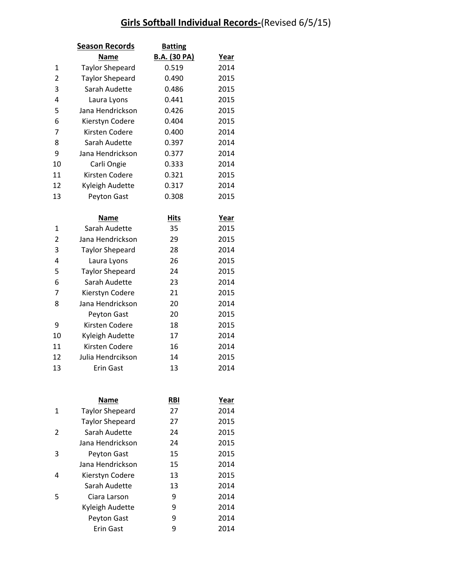|                | <b>Season Records</b>  | <b>Batting</b>      |             |
|----------------|------------------------|---------------------|-------------|
|                | <b>Name</b>            | <b>B.A.</b> (30 PA) | <u>Year</u> |
| 1              | <b>Taylor Shepeard</b> | 0.519               | 2014        |
| $\overline{2}$ | <b>Taylor Shepeard</b> | 0.490               | 2015        |
| 3              | Sarah Audette          | 0.486               | 2015        |
| 4              | Laura Lyons            | 0.441               | 2015        |
| 5              | Jana Hendrickson       | 0.426               | 2015        |
| 6              | Kierstyn Codere        | 0.404               | 2015        |
| 7              | Kirsten Codere         | 0.400               | 2014        |
| 8              | Sarah Audette          | 0.397               | 2014        |
| 9              | Jana Hendrickson       | 0.377               | 2014        |
| 10             | Carli Ongie            | 0.333               | 2014        |
| 11             | Kirsten Codere         | 0.321               | 2015        |
| 12             | Kyleigh Audette        | 0.317               | 2014        |
| 13             | Peyton Gast            | 0.308               | 2015        |
|                | Name                   | <b>Hits</b>         | Year        |
| $\mathbf{1}$   | Sarah Audette          | 35                  | 2015        |
| $\overline{2}$ | Jana Hendrickson       | 29                  | 2015        |
| 3              | <b>Taylor Shepeard</b> | 28                  | 2014        |
| 4              | Laura Lyons            | 26                  | 2015        |
| 5              | <b>Taylor Shepeard</b> | 24                  | 2015        |
| 6              | Sarah Audette          | 23                  | 2014        |
| 7              | Kierstyn Codere        | 21                  | 2015        |
| 8              | Jana Hendrickson       | 20                  | 2014        |
|                | Peyton Gast            | 20                  | 2015        |
| 9              | Kirsten Codere         | 18                  | 2015        |
| 10             | Kyleigh Audette        | 17                  | 2014        |

|   | Name                   | <b>RBI</b> | Year |
|---|------------------------|------------|------|
| 1 | <b>Taylor Shepeard</b> | 27         | 2014 |
|   | <b>Taylor Shepeard</b> | 27         | 2015 |
| 2 | Sarah Audette          | 24         | 2015 |
|   | Jana Hendrickson       | 24         | 2015 |
| 3 | Peyton Gast            | 15         | 2015 |
|   | Jana Hendrickson       | 15         | 2014 |
| 4 | Kierstyn Codere        | 13         | 2015 |
|   | Sarah Audette          | 13         | 2014 |
| 5 | Ciara Larson           | 9          | 2014 |
|   | Kyleigh Audette        | 9          | 2014 |
|   | Peyton Gast            | 9          | 2014 |
|   | Erin Gast              | 9          | 2014 |

11 Kirsten Codere 16 2014 Julia Hendrcikson 14 2015 **Erin Gast** 13 2014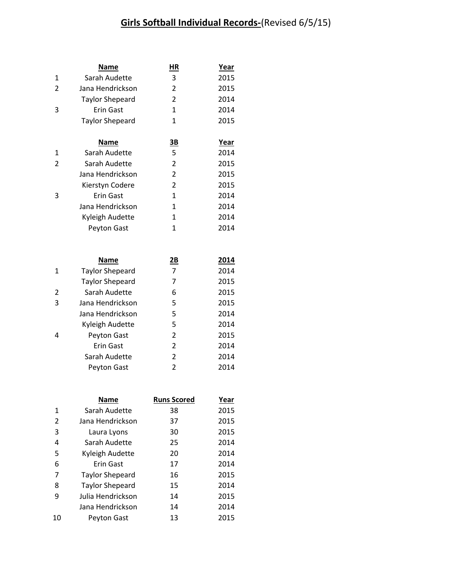|   | Name                   | ΗR             | <b>Year</b> |
|---|------------------------|----------------|-------------|
| 1 | Sarah Audette          | 3              | 2015        |
| 2 | Jana Hendrickson       | $\overline{2}$ | 2015        |
|   | <b>Taylor Shepeard</b> | 2              | 2014        |
| 3 | Erin Gast              | 1              | 2014        |
|   | <b>Taylor Shepeard</b> | 1              | 2015        |
|   |                        |                |             |
|   | Name                   | <u>3B</u>      | Year        |
| 1 | Sarah Audette          | 5              | 2014        |
| 2 | Sarah Audette          | 2              | 2015        |
|   | Jana Hendrickson       | $\overline{2}$ | 2015        |
|   | Kierstyn Codere        | 2              | 2015        |
| 3 | Erin Gast              | 1              | 2014        |
|   | Jana Hendrickson       | 1              | 2014        |
|   | Kyleigh Audette        | 1              | 2014        |
|   | Peyton Gast            | 1              | 2014        |

|   | Name                   | $\underline{\mathbf{2B}}$ | 2014 |
|---|------------------------|---------------------------|------|
| 1 | <b>Taylor Shepeard</b> | 7                         | 2014 |
|   | <b>Taylor Shepeard</b> | 7                         | 2015 |
| 2 | Sarah Audette          | 6                         | 2015 |
| 3 | Jana Hendrickson       | 5                         | 2015 |
|   | Jana Hendrickson       | 5                         | 2014 |
|   | Kyleigh Audette        | 5                         | 2014 |
| 4 | Peyton Gast            | 2                         | 2015 |
|   | Erin Gast              | 2                         | 2014 |
|   | Sarah Audette          | 2                         | 2014 |
|   | Peyton Gast            | 2                         | 2014 |

|    | <b>Name</b>            | <b>Runs Scored</b> | Year |
|----|------------------------|--------------------|------|
| 1  | Sarah Audette          | 38                 | 2015 |
| 2  | Jana Hendrickson       | 37                 | 2015 |
| 3  | Laura Lyons            | 30                 | 2015 |
| 4  | Sarah Audette          | 25                 | 2014 |
| 5  | Kyleigh Audette        | 20                 | 2014 |
| 6  | Erin Gast              | 17                 | 2014 |
| 7  | <b>Taylor Shepeard</b> | 16                 | 2015 |
| 8  | <b>Taylor Shepeard</b> | 15                 | 2014 |
| 9  | Julia Hendrickson      | 14                 | 2015 |
|    | Jana Hendrickson       | 14                 | 2014 |
| 10 | Peyton Gast            | 13                 | 2015 |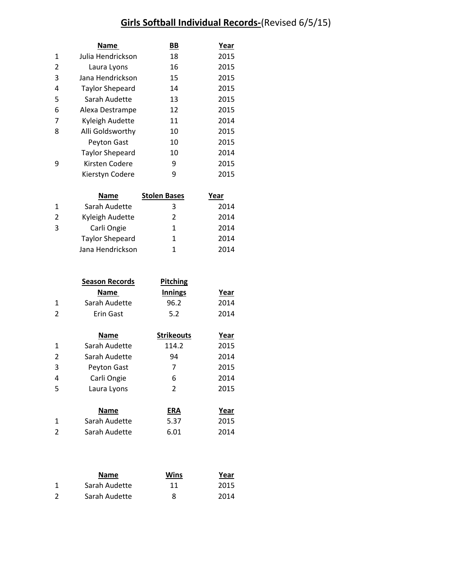|   | <b>Name</b>            | ΒB | Year |
|---|------------------------|----|------|
| 1 | Julia Hendrickson      | 18 | 2015 |
| 2 | Laura Lyons            | 16 | 2015 |
| 3 | Jana Hendrickson       | 15 | 2015 |
| 4 | <b>Taylor Shepeard</b> | 14 | 2015 |
| 5 | Sarah Audette          | 13 | 2015 |
| 6 | Alexa Destrampe        | 12 | 2015 |
| 7 | Kyleigh Audette        | 11 | 2014 |
| 8 | Alli Goldsworthy       | 10 | 2015 |
|   | Peyton Gast            | 10 | 2015 |
|   | <b>Taylor Shepeard</b> | 10 | 2014 |
| ٩ | Kirsten Codere         | 9  | 2015 |
|   | Kierstyn Codere        | 9  | 2015 |

|              | Name                   | <b>Stolen Bases</b> | Year |
|--------------|------------------------|---------------------|------|
| $\mathbf{1}$ | Sarah Audette          | ੨                   | 2014 |
| 2            | Kyleigh Audette        | 2                   | 2014 |
| 3            | Carli Ongie            | 1                   | 2014 |
|              | <b>Taylor Shepeard</b> | 1                   | 2014 |
|              | Jana Hendrickson       | 1                   | 2014 |

|   | <b>Season Records</b> | <b>Pitching</b>   |      |
|---|-----------------------|-------------------|------|
|   | <b>Name</b>           | <b>Innings</b>    | Year |
| 1 | Sarah Audette         | 96.2              | 2014 |
| 2 | Erin Gast             | 5.2               | 2014 |
|   | Name<br>.             | <b>Strikeouts</b> | Year |

| $\mathbf{1}$   | Sarah Audette | 114.2      | 2015 |
|----------------|---------------|------------|------|
| $\overline{2}$ | Sarah Audette | 94         | 2014 |
| 3              | Peyton Gast   | 7          | 2015 |
| $\overline{4}$ | Carli Ongie   | 6          | 2014 |
| 5              | Laura Lyons   | 2          | 2015 |
|                | Name          | <b>ERA</b> | Year |
| 1              | Sarah Audette | 5.37       | 2015 |
| $\overline{2}$ | Sarah Audette | 6.01       | 2014 |

|                | <b>Name</b>   | Wins | Year |
|----------------|---------------|------|------|
|                | Sarah Audette | 11   | 2015 |
| $\overline{2}$ | Sarah Audette | 8    | 2014 |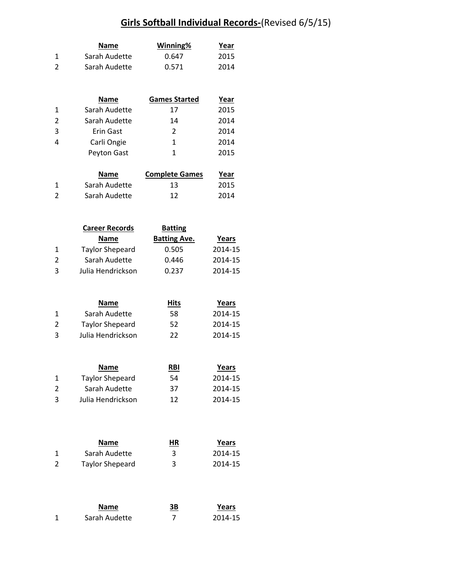|   | <b>Name</b>   | Winning% | Year |
|---|---------------|----------|------|
|   | Sarah Audette | 0.647    | 2015 |
| 2 | Sarah Audette | 0.571    | 2014 |

|              | <b>Name</b>   | <b>Games Started</b> | Year |
|--------------|---------------|----------------------|------|
| $\mathbf{1}$ | Sarah Audette | 17                   | 2015 |
| 2            | Sarah Audette | 14                   | 2014 |
| 3            | Erin Gast     | $\mathcal{P}$        | 2014 |
| 4            | Carli Ongie   | 1                    | 2014 |
|              | Peyton Gast   | 1                    | 2015 |
|              |               |                      |      |

|   | <b>Name</b>   | <b>Complete Games</b> | Year |
|---|---------------|-----------------------|------|
|   | Sarah Audette | 13                    | 2015 |
| 2 | Sarah Audette | 12                    | 2014 |

|   | <b>Career Records</b>  | <b>Batting</b>      |         |  |
|---|------------------------|---------------------|---------|--|
|   | <b>Name</b>            | <b>Batting Ave.</b> | Years   |  |
| 1 | <b>Taylor Shepeard</b> | 0.505               | 2014-15 |  |
| 2 | Sarah Audette          | 0.446               | 2014-15 |  |
| 3 | Julia Hendrickson      | 0.237               | 2014-15 |  |

|   | <b>Name</b>            | Hits | Years   |
|---|------------------------|------|---------|
|   | Sarah Audette          | 58   | 2014-15 |
| 2 | <b>Taylor Shepeard</b> | 52   | 2014-15 |
| 3 | Julia Hendrickson      | 22   | 2014-15 |

|               | <b>Name</b>            | <b>RBI</b> | Years   |
|---------------|------------------------|------------|---------|
|               | <b>Taylor Shepeard</b> | 54         | 2014-15 |
| $\mathcal{P}$ | Sarah Audette          | 37         | 2014-15 |
| з             | Julia Hendrickson      | 12         | 2014-15 |

| <b>Name</b>            | <u>HR</u> | Years   |
|------------------------|-----------|---------|
| Sarah Audette          | 3         | 2014-15 |
| <b>Taylor Shepeard</b> | 3         | 2014-15 |

|   | <b>Name</b>   | 3B | Years   |
|---|---------------|----|---------|
| 1 | Sarah Audette |    | 2014-15 |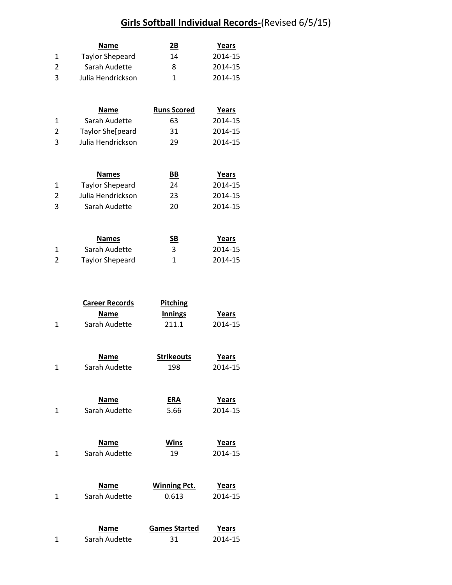|               | Name                   | 2Β | Years   |
|---------------|------------------------|----|---------|
|               | <b>Taylor Shepeard</b> | 14 | 2014-15 |
| $\mathcal{P}$ | Sarah Audette          | 8  | 2014-15 |
| 3             | Julia Hendrickson      |    | 2014-15 |

|   | <b>Name</b>       | <b>Runs Scored</b> | Years   |
|---|-------------------|--------------------|---------|
|   | Sarah Audette     | 63                 | 2014-15 |
| 2 | Taylor She[peard  | 31                 | 2014-15 |
| 3 | Julia Hendrickson | 29                 | 2014-15 |

|    | <b>Names</b>      | BВ | Years   |
|----|-------------------|----|---------|
|    | Taylor Shepeard   | 24 | 2014-15 |
| 2  | Julia Hendrickson | 23 | 2014-15 |
| ્વ | Sarah Audette     | 20 | 2014-15 |

|   | <b>Names</b>           | SВ | Years   |
|---|------------------------|----|---------|
|   | Sarah Audette          |    | 2014-15 |
| 2 | <b>Taylor Shepeard</b> |    | 2014-15 |

| <b>Career Records</b> | <b>Pitching</b> |         |  |
|-----------------------|-----------------|---------|--|
| <b>Name</b>           | <b>Innings</b>  | Years   |  |
| Sarah Audette         | 211.1           | 2014-15 |  |

| <b>Name</b>   | <b>Strikeouts</b> | Years   |
|---------------|-------------------|---------|
| Sarah Audette | 198               | 2014-15 |

| <b>Name</b>   | <b>ERA</b> | Years   |
|---------------|------------|---------|
| Sarah Audette | 5.66       | 2014-15 |

| <b>Name</b>   | <b>Wins</b> | Years   |
|---------------|-------------|---------|
| Sarah Audette | 19          | 2014-15 |

| <b>Name</b>   | <b>Winning Pct.</b> | Years   |  |
|---------------|---------------------|---------|--|
| Sarah Audette | 0.613               | 2014-15 |  |

| <b>Name</b>   | <b>Games Started</b> | Years   |
|---------------|----------------------|---------|
| Sarah Audette | 31                   | 2014-15 |